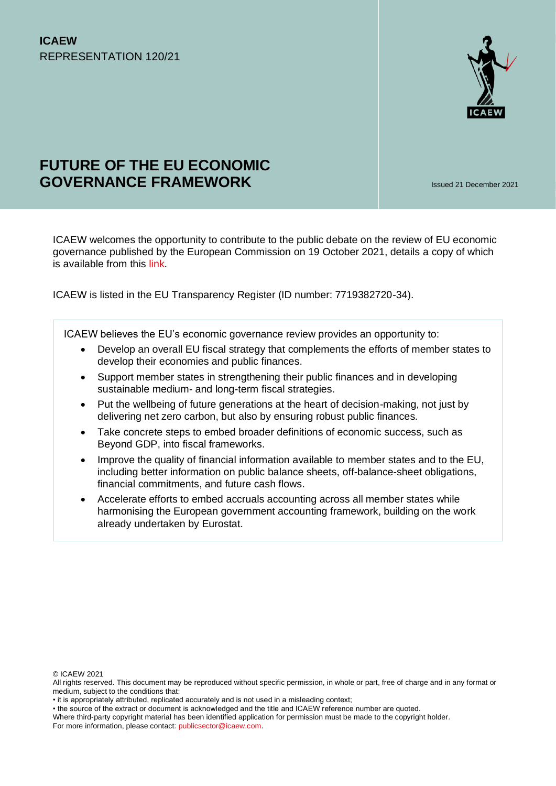

# **FUTURE OF THE EU ECONOMIC GOVERNANCE FRAMEWORK** Issued 21 December 2021

ICAEW welcomes the opportunity to contribute to the public debate on the review of EU economic governance published by the European Commission on 19 October 2021, details a copy of which is available from this [link.](https://ec.europa.eu/info/business-economy-euro/economic-and-fiscal-policy-coordination/economic-governance-review_en)

ICAEW is listed in the EU Transparency Register (ID number: 7719382720-34).

ICAEW believes the EU's economic governance review provides an opportunity to:

- Develop an overall EU fiscal strategy that complements the efforts of member states to develop their economies and public finances.
- Support member states in strengthening their public finances and in developing sustainable medium- and long-term fiscal strategies.
- Put the wellbeing of future generations at the heart of decision-making, not just by delivering net zero carbon, but also by ensuring robust public finances.
- Take concrete steps to embed broader definitions of economic success, such as Beyond GDP, into fiscal frameworks.
- Improve the quality of financial information available to member states and to the EU, including better information on public balance sheets, off-balance-sheet obligations, financial commitments, and future cash flows.
- Accelerate efforts to embed accruals accounting across all member states while harmonising the European government accounting framework, building on the work already undertaken by Eurostat.

© ICAEW 2021

All rights reserved. This document may be reproduced without specific permission, in whole or part, free of charge and in any format or medium, subject to the conditions that:

<sup>•</sup> it is appropriately attributed, replicated accurately and is not used in a misleading context;

<sup>•</sup> the source of the extract or document is acknowledged and the title and ICAEW reference number are quoted.

Where third-party copyright material has been identified application for permission must be made to the copyright holder. For more information, please contact: [publicsector@icaew.com.](mailto:publicsector@icaew.com)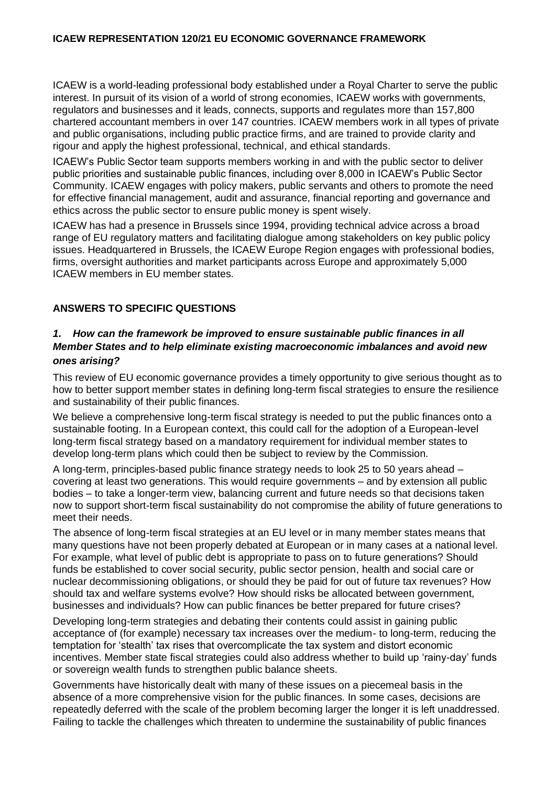ICAEW is a world-leading professional body established under a Royal Charter to serve the public interest. In pursuit of its vision of a world of strong economies, ICAEW works with governments, regulators and businesses and it leads, connects, supports and regulates more than 157,800 chartered accountant members in over 147 countries. ICAEW members work in all types of private and public organisations, including public practice firms, and are trained to provide clarity and rigour and apply the highest professional, technical, and ethical standards.

ICAEW's Public Sector team supports members working in and with the public sector to deliver public priorities and sustainable public finances, including over 8,000 in ICAEW's Public Sector Community. ICAEW engages with policy makers, public servants and others to promote the need for effective financial management, audit and assurance, financial reporting and governance and ethics across the public sector to ensure public money is spent wisely.

ICAEW has had a presence in Brussels since 1994, providing technical advice across a broad range of EU regulatory matters and facilitating dialogue among stakeholders on key public policy issues. Headquartered in Brussels, the ICAEW Europe Region engages with professional bodies, firms, oversight authorities and market participants across Europe and approximately 5,000 ICAEW members in EU member states.

# **ANSWERS TO SPECIFIC QUESTIONS**

#### *1. How can the framework be improved to ensure sustainable public finances in all Member States and to help eliminate existing macroeconomic imbalances and avoid new ones arising?*

This review of EU economic governance provides a timely opportunity to give serious thought as to how to better support member states in defining long-term fiscal strategies to ensure the resilience and sustainability of their public finances.

We believe a comprehensive long-term fiscal strategy is needed to put the public finances onto a sustainable footing. In a European context, this could call for the adoption of a European-level long-term fiscal strategy based on a mandatory requirement for individual member states to develop long-term plans which could then be subject to review by the Commission.

A long-term, principles-based public finance strategy needs to look 25 to 50 years ahead – covering at least two generations. This would require governments – and by extension all public bodies – to take a longer-term view, balancing current and future needs so that decisions taken now to support short-term fiscal sustainability do not compromise the ability of future generations to meet their needs.

The absence of long-term fiscal strategies at an EU level or in many member states means that many questions have not been properly debated at European or in many cases at a national level. For example, what level of public debt is appropriate to pass on to future generations? Should funds be established to cover social security, public sector pension, health and social care or nuclear decommissioning obligations, or should they be paid for out of future tax revenues? How should tax and welfare systems evolve? How should risks be allocated between government, businesses and individuals? How can public finances be better prepared for future crises?

Developing long-term strategies and debating their contents could assist in gaining public acceptance of (for example) necessary tax increases over the medium- to long-term, reducing the temptation for 'stealth' tax rises that overcomplicate the tax system and distort economic incentives. Member state fiscal strategies could also address whether to build up 'rainy-day' funds or sovereign wealth funds to strengthen public balance sheets.

Governments have historically dealt with many of these issues on a piecemeal basis in the absence of a more comprehensive vision for the public finances. In some cases, decisions are repeatedly deferred with the scale of the problem becoming larger the longer it is left unaddressed. Failing to tackle the challenges which threaten to undermine the sustainability of public finances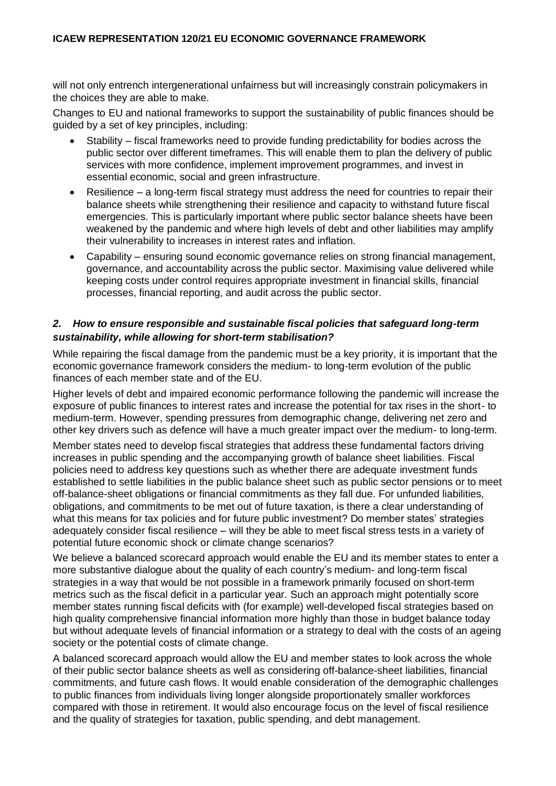will not only entrench intergenerational unfairness but will increasingly constrain policymakers in the choices they are able to make.

Changes to EU and national frameworks to support the sustainability of public finances should be guided by a set of key principles, including:

- Stability fiscal frameworks need to provide funding predictability for bodies across the public sector over different timeframes. This will enable them to plan the delivery of public services with more confidence, implement improvement programmes, and invest in essential economic, social and green infrastructure.
- Resilience a long-term fiscal strategy must address the need for countries to repair their balance sheets while strengthening their resilience and capacity to withstand future fiscal emergencies. This is particularly important where public sector balance sheets have been weakened by the pandemic and where high levels of debt and other liabilities may amplify their vulnerability to increases in interest rates and inflation.
- Capability ensuring sound economic governance relies on strong financial management, governance, and accountability across the public sector. Maximising value delivered while keeping costs under control requires appropriate investment in financial skills, financial processes, financial reporting, and audit across the public sector.

#### *2. How to ensure responsible and sustainable fiscal policies that safeguard long-term sustainability, while allowing for short-term stabilisation?*

While repairing the fiscal damage from the pandemic must be a key priority, it is important that the economic governance framework considers the medium- to long-term evolution of the public finances of each member state and of the EU.

Higher levels of debt and impaired economic performance following the pandemic will increase the exposure of public finances to interest rates and increase the potential for tax rises in the short- to medium-term. However, spending pressures from demographic change, delivering net zero and other key drivers such as defence will have a much greater impact over the medium- to long-term.

Member states need to develop fiscal strategies that address these fundamental factors driving increases in public spending and the accompanying growth of balance sheet liabilities. Fiscal policies need to address key questions such as whether there are adequate investment funds established to settle liabilities in the public balance sheet such as public sector pensions or to meet off-balance-sheet obligations or financial commitments as they fall due. For unfunded liabilities, obligations, and commitments to be met out of future taxation, is there a clear understanding of what this means for tax policies and for future public investment? Do member states' strategies adequately consider fiscal resilience – will they be able to meet fiscal stress tests in a variety of potential future economic shock or climate change scenarios?

We believe a balanced scorecard approach would enable the EU and its member states to enter a more substantive dialogue about the quality of each country's medium- and long-term fiscal strategies in a way that would be not possible in a framework primarily focused on short-term metrics such as the fiscal deficit in a particular year. Such an approach might potentially score member states running fiscal deficits with (for example) well-developed fiscal strategies based on high quality comprehensive financial information more highly than those in budget balance today but without adequate levels of financial information or a strategy to deal with the costs of an ageing society or the potential costs of climate change.

A balanced scorecard approach would allow the EU and member states to look across the whole of their public sector balance sheets as well as considering off-balance-sheet liabilities, financial commitments, and future cash flows. It would enable consideration of the demographic challenges to public finances from individuals living longer alongside proportionately smaller workforces compared with those in retirement. It would also encourage focus on the level of fiscal resilience and the quality of strategies for taxation, public spending, and debt management.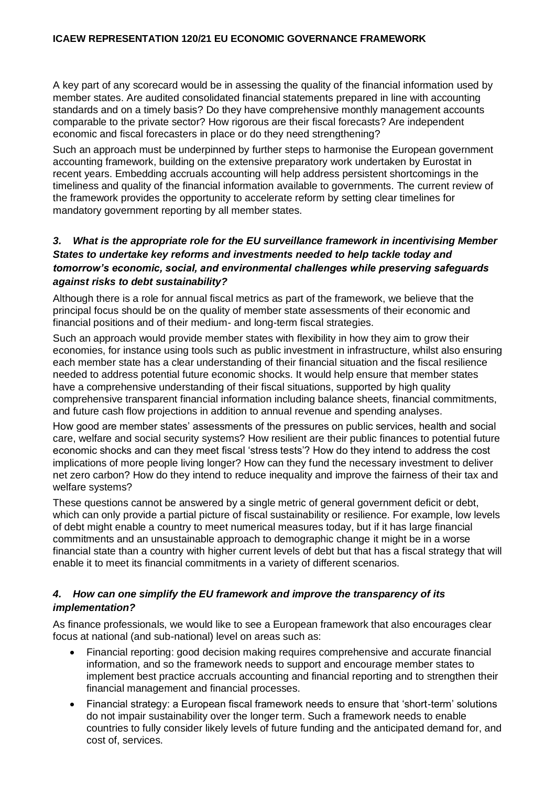A key part of any scorecard would be in assessing the quality of the financial information used by member states. Are audited consolidated financial statements prepared in line with accounting standards and on a timely basis? Do they have comprehensive monthly management accounts comparable to the private sector? How rigorous are their fiscal forecasts? Are independent economic and fiscal forecasters in place or do they need strengthening?

Such an approach must be underpinned by further steps to harmonise the European government accounting framework, building on the extensive preparatory work undertaken by Eurostat in recent years. Embedding accruals accounting will help address persistent shortcomings in the timeliness and quality of the financial information available to governments. The current review of the framework provides the opportunity to accelerate reform by setting clear timelines for mandatory government reporting by all member states.

# *3. What is the appropriate role for the EU surveillance framework in incentivising Member States to undertake key reforms and investments needed to help tackle today and tomorrow's economic, social, and environmental challenges while preserving safeguards against risks to debt sustainability?*

Although there is a role for annual fiscal metrics as part of the framework, we believe that the principal focus should be on the quality of member state assessments of their economic and financial positions and of their medium- and long-term fiscal strategies.

Such an approach would provide member states with flexibility in how they aim to grow their economies, for instance using tools such as public investment in infrastructure, whilst also ensuring each member state has a clear understanding of their financial situation and the fiscal resilience needed to address potential future economic shocks. It would help ensure that member states have a comprehensive understanding of their fiscal situations, supported by high quality comprehensive transparent financial information including balance sheets, financial commitments, and future cash flow projections in addition to annual revenue and spending analyses.

How good are member states' assessments of the pressures on public services, health and social care, welfare and social security systems? How resilient are their public finances to potential future economic shocks and can they meet fiscal 'stress tests'? How do they intend to address the cost implications of more people living longer? How can they fund the necessary investment to deliver net zero carbon? How do they intend to reduce inequality and improve the fairness of their tax and welfare systems?

These questions cannot be answered by a single metric of general government deficit or debt, which can only provide a partial picture of fiscal sustainability or resilience. For example, low levels of debt might enable a country to meet numerical measures today, but if it has large financial commitments and an unsustainable approach to demographic change it might be in a worse financial state than a country with higher current levels of debt but that has a fiscal strategy that will enable it to meet its financial commitments in a variety of different scenarios.

# *4. How can one simplify the EU framework and improve the transparency of its implementation?*

As finance professionals, we would like to see a European framework that also encourages clear focus at national (and sub-national) level on areas such as:

- Financial reporting: good decision making requires comprehensive and accurate financial information, and so the framework needs to support and encourage member states to implement best practice accruals accounting and financial reporting and to strengthen their financial management and financial processes.
- Financial strategy: a European fiscal framework needs to ensure that 'short-term' solutions do not impair sustainability over the longer term. Such a framework needs to enable countries to fully consider likely levels of future funding and the anticipated demand for, and cost of, services.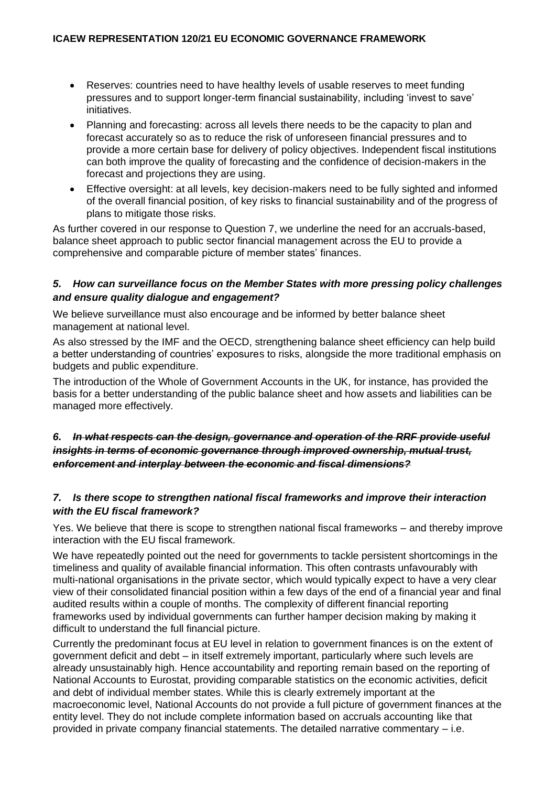- Reserves: countries need to have healthy levels of usable reserves to meet funding pressures and to support longer-term financial sustainability, including 'invest to save' initiatives.
- Planning and forecasting: across all levels there needs to be the capacity to plan and forecast accurately so as to reduce the risk of unforeseen financial pressures and to provide a more certain base for delivery of policy objectives. Independent fiscal institutions can both improve the quality of forecasting and the confidence of decision-makers in the forecast and projections they are using.
- Effective oversight: at all levels, key decision-makers need to be fully sighted and informed of the overall financial position, of key risks to financial sustainability and of the progress of plans to mitigate those risks.

As further covered in our response to Question 7, we underline the need for an accruals-based, balance sheet approach to public sector financial management across the EU to provide a comprehensive and comparable picture of member states' finances.

#### *5. How can surveillance focus on the Member States with more pressing policy challenges and ensure quality dialogue and engagement?*

We believe surveillance must also encourage and be informed by better balance sheet management at national level.

As also stressed by the IMF and the OECD, strengthening balance sheet efficiency can help build a better understanding of countries' exposures to risks, alongside the more traditional emphasis on budgets and public expenditure.

The introduction of the Whole of Government Accounts in the UK, for instance, has provided the basis for a better understanding of the public balance sheet and how assets and liabilities can be managed more effectively.

# *6. In what respects can the design, governance and operation of the RRF provide useful insights in terms of economic governance through improved ownership, mutual trust, enforcement and interplay between the economic and fiscal dimensions?*

# *7. Is there scope to strengthen national fiscal frameworks and improve their interaction with the EU fiscal framework?*

Yes. We believe that there is scope to strengthen national fiscal frameworks – and thereby improve interaction with the EU fiscal framework.

We have repeatedly pointed out the need for governments to tackle persistent shortcomings in the timeliness and quality of available financial information. This often contrasts unfavourably with multi-national organisations in the private sector, which would typically expect to have a very clear view of their consolidated financial position within a few days of the end of a financial year and final audited results within a couple of months. The complexity of different financial reporting frameworks used by individual governments can further hamper decision making by making it difficult to understand the full financial picture.

Currently the predominant focus at EU level in relation to government finances is on the extent of government deficit and debt – in itself extremely important, particularly where such levels are already unsustainably high. Hence accountability and reporting remain based on the reporting of National Accounts to Eurostat, providing comparable statistics on the economic activities, deficit and debt of individual member states. While this is clearly extremely important at the macroeconomic level, National Accounts do not provide a full picture of government finances at the entity level. They do not include complete information based on accruals accounting like that provided in private company financial statements. The detailed narrative commentary – i.e.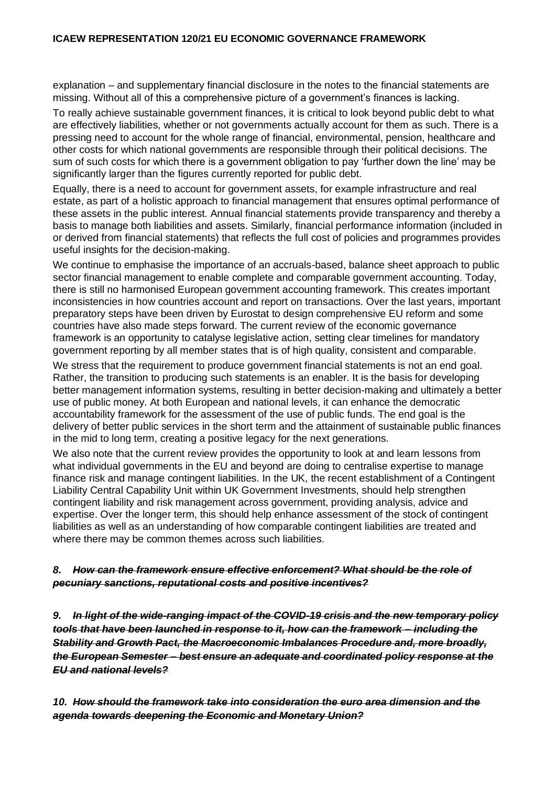#### **ICAEW REPRESENTATION 120/21 EU ECONOMIC GOVERNANCE FRAMEWORK**

explanation – and supplementary financial disclosure in the notes to the financial statements are missing. Without all of this a comprehensive picture of a government's finances is lacking.

To really achieve sustainable government finances, it is critical to look beyond public debt to what are effectively liabilities, whether or not governments actually account for them as such. There is a pressing need to account for the whole range of financial, environmental, pension, healthcare and other costs for which national governments are responsible through their political decisions. The sum of such costs for which there is a government obligation to pay 'further down the line' may be significantly larger than the figures currently reported for public debt.

Equally, there is a need to account for government assets, for example infrastructure and real estate, as part of a holistic approach to financial management that ensures optimal performance of these assets in the public interest. Annual financial statements provide transparency and thereby a basis to manage both liabilities and assets. Similarly, financial performance information (included in or derived from financial statements) that reflects the full cost of policies and programmes provides useful insights for the decision-making.

We continue to emphasise the importance of an accruals-based, balance sheet approach to public sector financial management to enable complete and comparable government accounting. Today, there is still no harmonised European government accounting framework. This creates important inconsistencies in how countries account and report on transactions. Over the last years, important preparatory steps have been driven by Eurostat to design comprehensive EU reform and some countries have also made steps forward. The current review of the economic governance framework is an opportunity to catalyse legislative action, setting clear timelines for mandatory government reporting by all member states that is of high quality, consistent and comparable.

We stress that the requirement to produce government financial statements is not an end goal. Rather, the transition to producing such statements is an enabler. It is the basis for developing better management information systems, resulting in better decision-making and ultimately a better use of public money. At both European and national levels, it can enhance the democratic accountability framework for the assessment of the use of public funds. The end goal is the delivery of better public services in the short term and the attainment of sustainable public finances in the mid to long term, creating a positive legacy for the next generations.

We also note that the current review provides the opportunity to look at and learn lessons from what individual governments in the EU and beyond are doing to centralise expertise to manage finance risk and manage contingent liabilities. In the UK, the recent establishment of a Contingent Liability Central Capability Unit within UK Government Investments, should help strengthen contingent liability and risk management across government, providing analysis, advice and expertise. Over the longer term, this should help enhance assessment of the stock of contingent liabilities as well as an understanding of how comparable contingent liabilities are treated and where there may be common themes across such liabilities.

#### *8. How can the framework ensure effective enforcement? What should be the role of pecuniary sanctions, reputational costs and positive incentives?*

*9. In light of the wide-ranging impact of the COVID-19 crisis and the new temporary policy tools that have been launched in response to it, how can the framework – including the Stability and Growth Pact, the Macroeconomic Imbalances Procedure and, more broadly, the European Semester – best ensure an adequate and coordinated policy response at the EU and national levels?*

*10. How should the framework take into consideration the euro area dimension and the agenda towards deepening the Economic and Monetary Union?*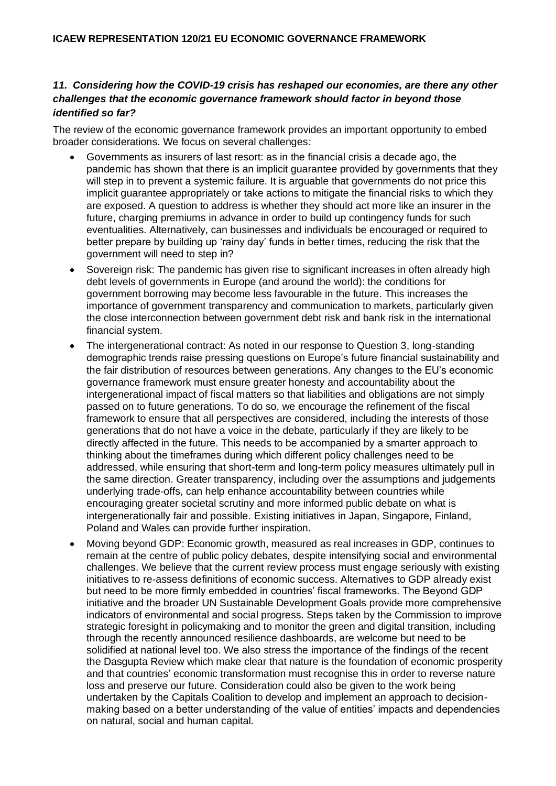# *11. Considering how the COVID-19 crisis has reshaped our economies, are there any other challenges that the economic governance framework should factor in beyond those identified so far?*

The review of the economic governance framework provides an important opportunity to embed broader considerations. We focus on several challenges:

- Governments as insurers of last resort: as in the financial crisis a decade ago, the pandemic has shown that there is an implicit guarantee provided by governments that they will step in to prevent a systemic failure. It is arguable that governments do not price this implicit guarantee appropriately or take actions to mitigate the financial risks to which they are exposed. A question to address is whether they should act more like an insurer in the future, charging premiums in advance in order to build up contingency funds for such eventualities. Alternatively, can businesses and individuals be encouraged or required to better prepare by building up 'rainy day' funds in better times, reducing the risk that the government will need to step in?
- Sovereign risk: The pandemic has given rise to significant increases in often already high debt levels of governments in Europe (and around the world): the conditions for government borrowing may become less favourable in the future. This increases the importance of government transparency and communication to markets, particularly given the close interconnection between government debt risk and bank risk in the international financial system.
- The intergenerational contract: As noted in our response to Question 3, long-standing demographic trends raise pressing questions on Europe's future financial sustainability and the fair distribution of resources between generations. Any changes to the EU's economic governance framework must ensure greater honesty and accountability about the intergenerational impact of fiscal matters so that liabilities and obligations are not simply passed on to future generations. To do so, we encourage the refinement of the fiscal framework to ensure that all perspectives are considered, including the interests of those generations that do not have a voice in the debate, particularly if they are likely to be directly affected in the future. This needs to be accompanied by a smarter approach to thinking about the timeframes during which different policy challenges need to be addressed, while ensuring that short-term and long-term policy measures ultimately pull in the same direction. Greater transparency, including over the assumptions and judgements underlying trade-offs, can help enhance accountability between countries while encouraging greater societal scrutiny and more informed public debate on what is intergenerationally fair and possible. Existing initiatives in Japan, Singapore, Finland, Poland and Wales can provide further inspiration.
- Moving beyond GDP: Economic growth, measured as real increases in GDP, continues to remain at the centre of public policy debates, despite intensifying social and environmental challenges. We believe that the current review process must engage seriously with existing initiatives to re-assess definitions of economic success. Alternatives to GDP already exist but need to be more firmly embedded in countries' fiscal frameworks. The Beyond GDP initiative and the broader UN Sustainable Development Goals provide more comprehensive indicators of environmental and social progress. Steps taken by the Commission to improve strategic foresight in policymaking and to monitor the green and digital transition, including through the recently announced resilience dashboards, are welcome but need to be solidified at national level too. We also stress the importance of the findings of the recent the Dasgupta Review which make clear that nature is the foundation of economic prosperity and that countries' economic transformation must recognise this in order to reverse nature loss and preserve our future. Consideration could also be given to the work being undertaken by the Capitals Coalition to develop and implement an approach to decisionmaking based on a better understanding of the value of entities' impacts and dependencies on natural, social and human capital.